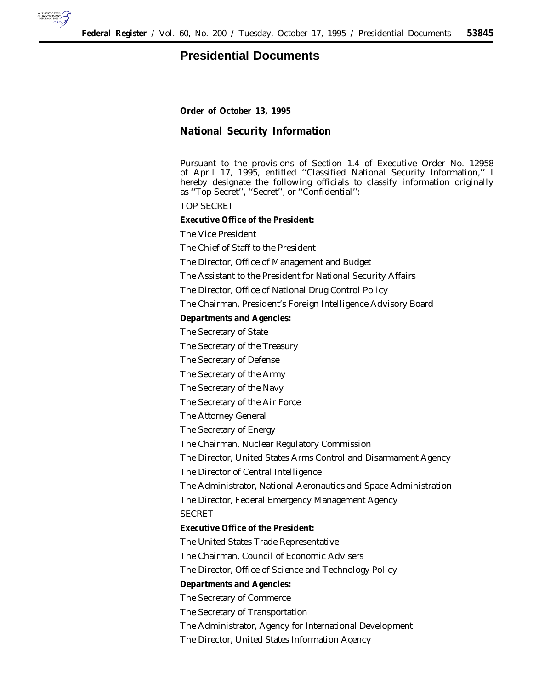

## **Presidential Documents**

**Order of October 13, 1995**

**National Security Information**

Pursuant to the provisions of Section 1.4 of Executive Order No. 12958 of April 17, 1995, entitled ''Classified National Security Information,'' I hereby designate the following officials to classify information originally as ''Top Secret'', ''Secret'', or ''Confidential'':

*TOP SECRET*

**Executive Office of the President:**

The Vice President

The Chief of Staff to the President

The Director, Office of Management and Budget

The Assistant to the President for National Security Affairs

The Director, Office of National Drug Control Policy

The Chairman, President's Foreign Intelligence Advisory Board

**Departments and Agencies:**

The Secretary of State

The Secretary of the Treasury

The Secretary of Defense

The Secretary of the Army

The Secretary of the Navy

The Secretary of the Air Force

The Attorney General

The Secretary of Energy

The Chairman, Nuclear Regulatory Commission

The Director, United States Arms Control and Disarmament Agency

The Director of Central Intelligence

The Administrator, National Aeronautics and Space Administration

The Director, Federal Emergency Management Agency

*SECRET*

**Executive Office of the President:**

The United States Trade Representative

The Chairman, Council of Economic Advisers

The Director, Office of Science and Technology Policy

**Departments and Agencies:**

The Secretary of Commerce

The Secretary of Transportation

The Administrator, Agency for International Development

The Director, United States Information Agency